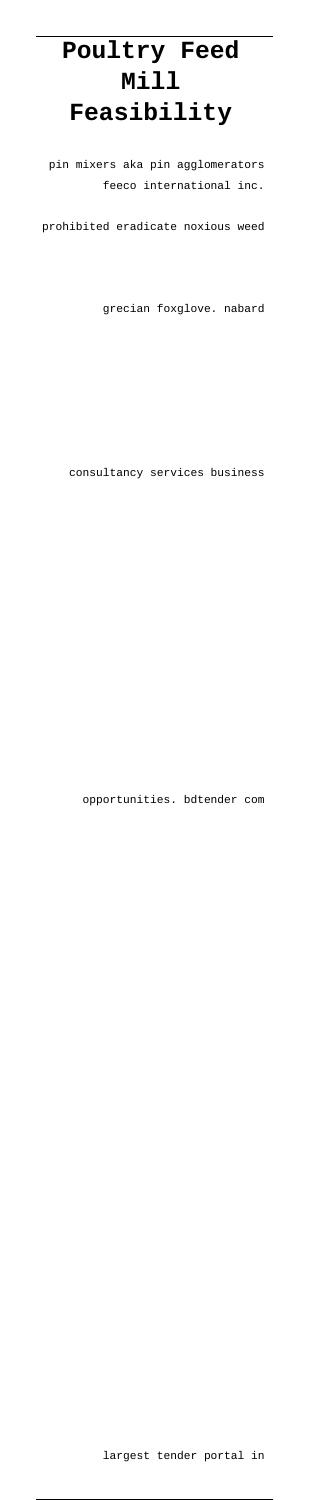# **Poultry Feed Mill Feasibility**

pin mixers aka pin agglomerators feeco international inc.

prohibited eradicate noxious weed

grecian foxglove. nabard

consultancy services business

opportunities. bdtender com

### largest tender portal in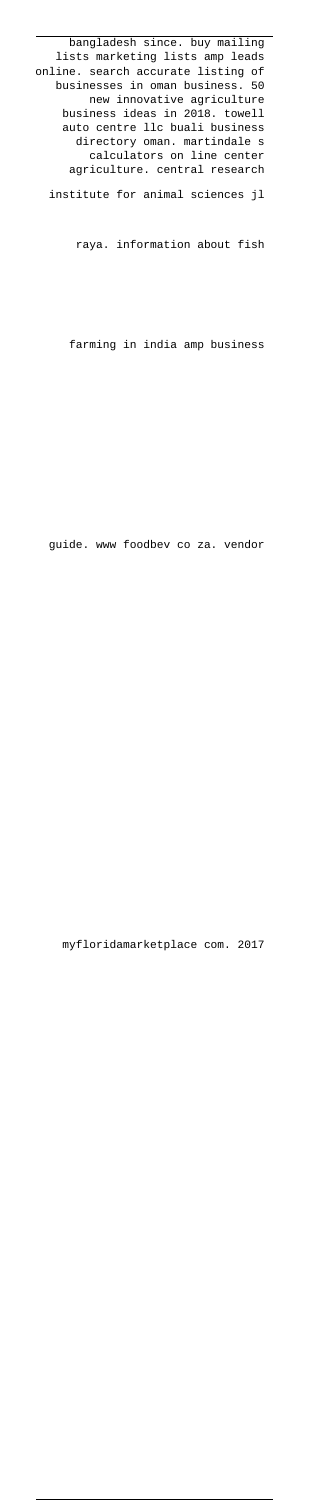bangladesh since. buy mailing lists marketing lists amp leads online. search accurate listing of businesses in oman business. 50 new innovative agriculture business ideas in 2018. towell auto centre llc buali business directory oman. martindale s calculators on line center agriculture. central research

institute for animal sciences jl

raya. information about fish

farming in india amp business

guide. www foodbev co za. vendor

myfloridamarketplace com. 2017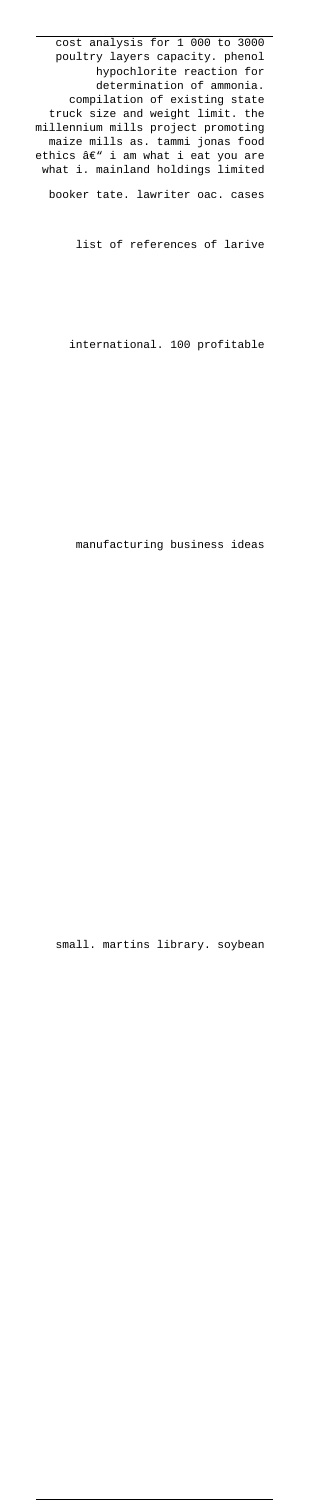cost analysis for 1 000 to 3000 poultry layers capacity. phenol hypochlorite reaction for determination of ammonia. compilation of existing state truck size and weight limit. the millennium mills project promoting maize mills as. tammi jonas food ethics â $\bm{\epsilon}$ " i am what i eat you are what i. mainland holdings limited booker tate. lawriter oac. cases

list of references of larive

international. 100 profitable

manufacturing business ideas

small. martins library. soybean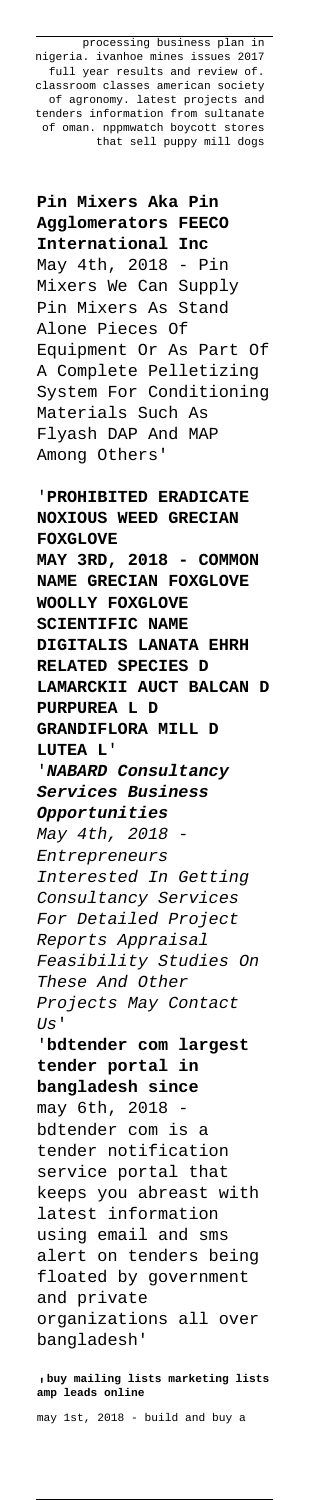processing business plan in nigeria. ivanhoe mines issues 2017 full year results and review of. classroom classes american society of agronomy. latest projects and tenders information from sultanate of oman. nppmwatch boycott stores that sell puppy mill dogs

**Pin Mixers Aka Pin Agglomerators FEECO International Inc** May 4th, 2018 - Pin Mixers We Can Supply Pin Mixers As Stand Alone Pieces Of Equipment Or As Part Of A Complete Pelletizing System For Conditioning Materials Such As Flyash DAP And MAP Among Others'

'**PROHIBITED ERADICATE NOXIOUS WEED GRECIAN FOXGLOVE MAY 3RD, 2018 - COMMON NAME GRECIAN FOXGLOVE WOOLLY FOXGLOVE SCIENTIFIC NAME DIGITALIS LANATA EHRH RELATED SPECIES D LAMARCKII AUCT BALCAN D PURPUREA L D GRANDIFLORA MILL D LUTEA L**' '**NABARD Consultancy Services Business Opportunities** May 4th, 2018 Entrepreneurs Interested In Getting Consultancy Services For Detailed Project Reports Appraisal Feasibility Studies On These And Other Projects May Contact  $US'$ '**bdtender com largest tender portal in bangladesh since** may 6th, 2018 bdtender com is a tender notification

service portal that keeps you abreast with latest information using email and sms alert on tenders being floated by government and private organizations all over bangladesh'

'**buy mailing lists marketing lists amp leads online**

may 1st, 2018 - build and buy a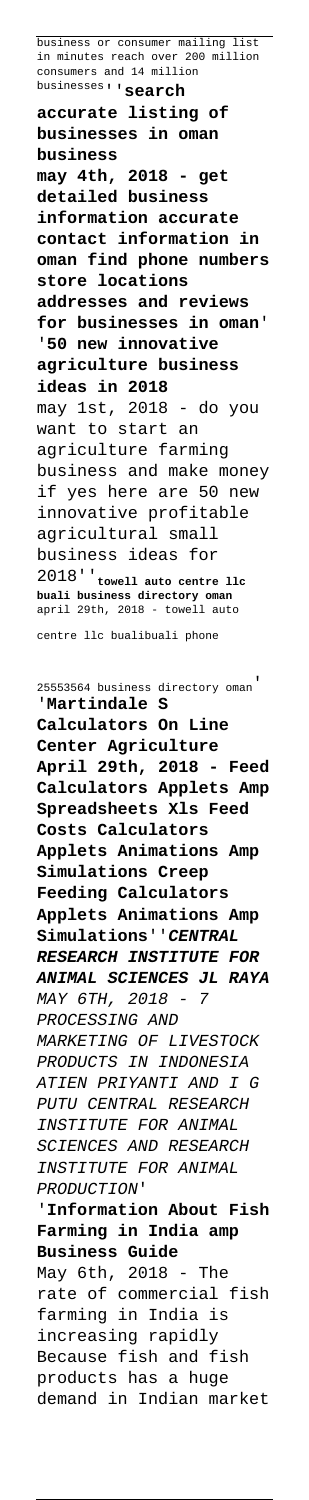business or consumer mailing list in minutes reach over 200 million consumers and 14 million businesses''**search**

**accurate listing of businesses in oman business may 4th, 2018 - get detailed business information accurate contact information in oman find phone numbers store locations addresses and reviews for businesses in oman**' '**50 new innovative agriculture business ideas in 2018** may 1st, 2018 - do you want to start an agriculture farming business and make money if yes here are 50 new innovative profitable agricultural small business ideas for 2018''**towell auto centre llc buali business directory oman** april 29th, 2018 - towell auto

centre llc bualibuali phone

25553564 business directory oman' '**Martindale S Calculators On Line Center Agriculture April 29th, 2018 - Feed Calculators Applets Amp Spreadsheets Xls Feed Costs Calculators Applets Animations Amp Simulations Creep Feeding Calculators Applets Animations Amp Simulations**''**CENTRAL RESEARCH INSTITUTE FOR ANIMAL SCIENCES JL RAYA** MAY 6TH, 2018 - 7 PROCESSING AND MARKETING OF LIVESTOCK PRODUCTS IN INDONESIA ATIEN PRIYANTI AND I G PUTU CENTRAL RESEARCH INSTITUTE FOR ANIMAL SCIENCES AND RESEARCH INSTITUTE FOR ANIMAL PRODUCTION' '**Information About Fish Farming in India amp Business Guide** May 6th, 2018 - The rate of commercial fish farming in India is increasing rapidly Because fish and fish products has a huge demand in Indian market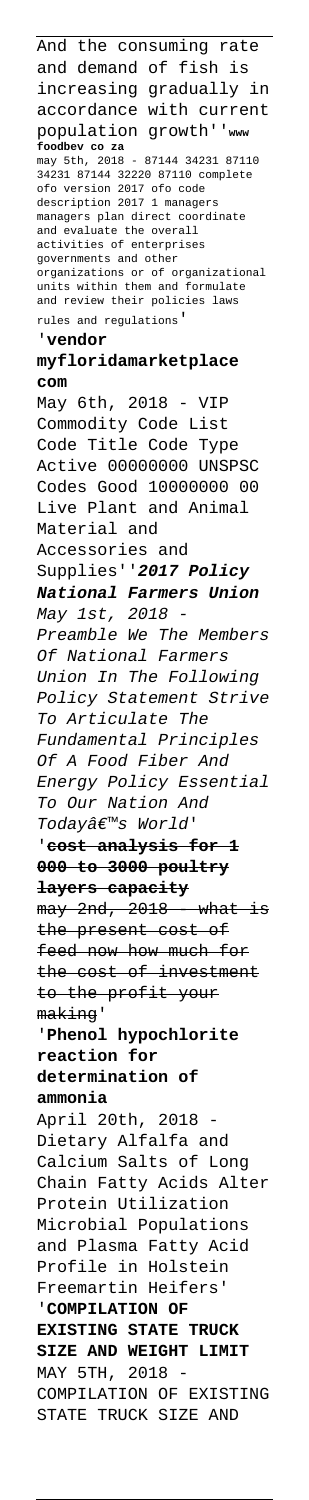And the consuming rate and demand of fish is increasing gradually in accordance with current population growth''**www foodbev co za** may 5th, 2018 - 87144 34231 87110 34231 87144 32220 87110 complete ofo version 2017 ofo code description 2017 1 managers managers plan direct coordinate and evaluate the overall activities of enterprises governments and other organizations or of organizational units within them and formulate and review their policies laws rules and regulations' '**vendor myfloridamarketplace com** May 6th, 2018 - VIP Commodity Code List Code Title Code Type Active 00000000 UNSPSC Codes Good 10000000 00 Live Plant and Animal Material and Accessories and Supplies''**2017 Policy National Farmers Union** May 1st, 2018 - Preamble We The Members Of National Farmers Union In The Following Policy Statement Strive To Articulate The Fundamental Principles Of A Food Fiber And Energy Policy Essential To Our Nation And Today's World' '**cost analysis for 1 000 to 3000 poultry layers capacity**  $may$  2nd, 2018  $-$  what is the present cost of feed now how much for the cost of investment to the profit your making' '**Phenol hypochlorite reaction for determination of ammonia** April 20th, 2018 Dietary Alfalfa and Calcium Salts of Long Chain Fatty Acids Alter Protein Utilization Microbial Populations and Plasma Fatty Acid Profile in Holstein Freemartin Heifers' '**COMPILATION OF EXISTING STATE TRUCK SIZE AND WEIGHT LIMIT** MAY 5TH, 2018 COMPILATION OF EXISTING STATE TRUCK SIZE AND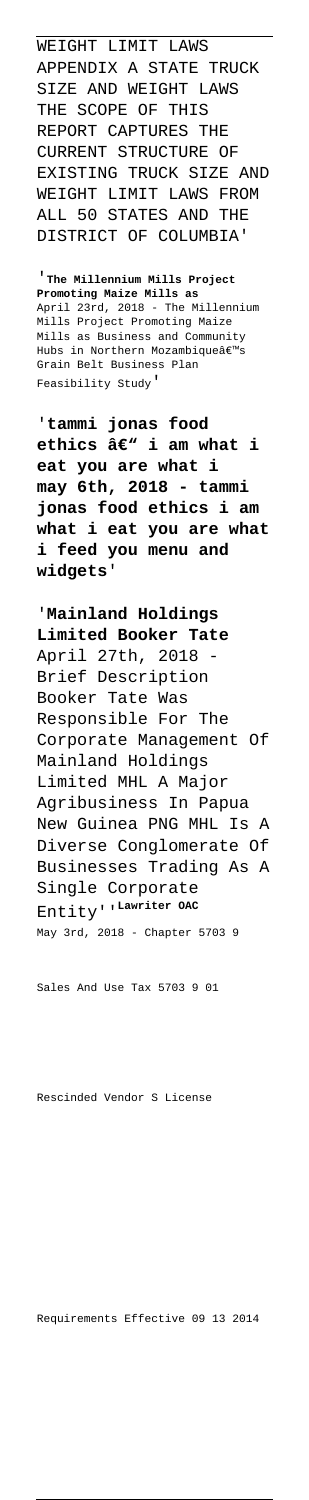WEIGHT LIMIT LAWS APPENDIX A STATE TRUCK SIZE AND WEIGHT LAWS THE SCOPE OF THIS REPORT CAPTURES THE CURRENT STRUCTURE OF EXISTING TRUCK SIZE AND WEIGHT LIMIT LAWS FROM ALL 50 STATES AND THE DISTRICT OF COLUMBIA'

'**The Millennium Mills Project Promoting Maize Mills as** April 23rd, 2018 - The Millennium Mills Project Promoting Maize Mills as Business and Community Hubs in Northern Mozambiqueâ€<sup>™</sup>s Grain Belt Business Plan Feasibility Study'

'**tammi jonas food** ethics â€<sup>w</sup> i am what i **eat you are what i may 6th, 2018 - tammi jonas food ethics i am what i eat you are what i feed you menu and widgets**'

'**Mainland Holdings Limited Booker Tate** April 27th, 2018 Brief Description Booker Tate Was Responsible For The Corporate Management Of Mainland Holdings Limited MHL A Major Agribusiness In Papua New Guinea PNG MHL Is A Diverse Conglomerate Of Businesses Trading As A Single Corporate Entity''**Lawriter OAC** May 3rd, 2018 - Chapter 5703 9

Sales And Use Tax 5703 9 01

Requirements Effective 09 13 2014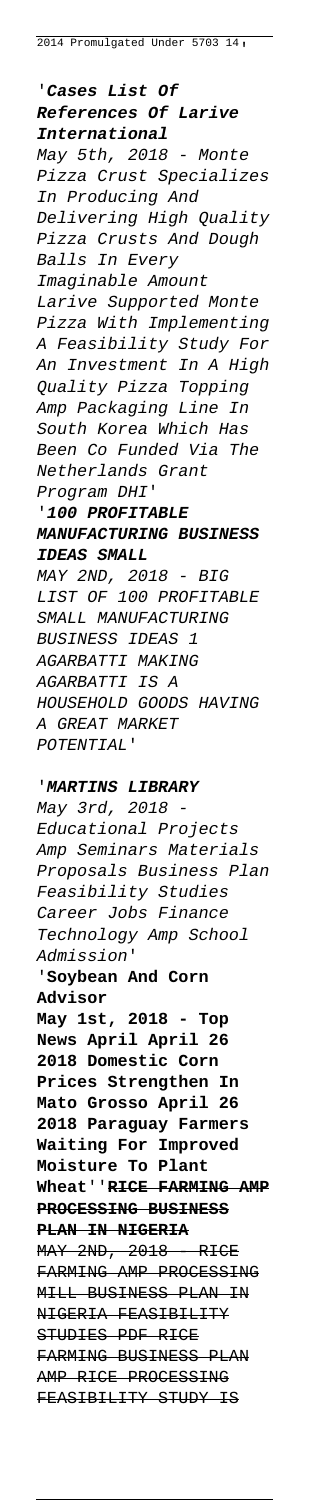'**Cases List Of References Of Larive International** May 5th, 2018 - Monte Pizza Crust Specializes In Producing And Delivering High Quality Pizza Crusts And Dough Balls In Every Imaginable Amount Larive Supported Monte Pizza With Implementing A Feasibility Study For An Investment In A High Quality Pizza Topping Amp Packaging Line In South Korea Which Has Been Co Funded Via The Netherlands Grant Program DHI' '**100 PROFITABLE MANUFACTURING BUSINESS IDEAS SMALL** MAY 2ND, 2018 - BIG LIST OF 100 PROFITABLE SMALL MANUFACTURING BUSINESS IDEAS 1 AGARBATTI MAKING AGARBATTI IS A HOUSEHOLD GOODS HAVING A GREAT MARKET

POTENTIAL'

#### '**MARTINS LIBRARY**

May 3rd, 2018 - Educational Projects Amp Seminars Materials Proposals Business Plan Feasibility Studies Career Jobs Finance Technology Amp School Admission' '**Soybean And Corn Advisor May 1st, 2018 - Top News April April 26 2018 Domestic Corn Prices Strengthen In Mato Grosso April 26 2018 Paraguay Farmers Waiting For Improved**

## **Moisture To Plant Wheat**''**RICE FARMING AMP PROCESSING BUSINESS PLAN IN NIGERIA** MAY 2ND, 2018 RICE FARMING AMP PROCESSING MILL BUSINESS PLAN IN NIGERIA FEASIBILITY STUDIES PDF RICE FARMING BUSINESS PLAN AMP RICE PROCESSING FEASIBILITY STUDY IS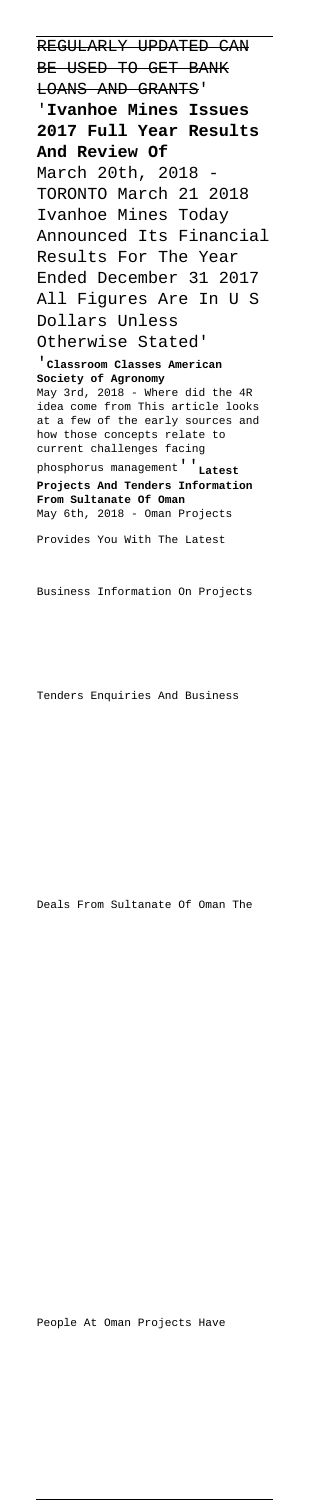REGULARLY UPDATED CAN BE USED TO GET BANK LOANS AND GRANTS' '**Ivanhoe Mines Issues 2017 Full Year Results And Review Of** March 20th, 2018 TORONTO March 21 2018 Ivanhoe Mines Today Announced Its Financial Results For The Year Ended December 31 2017 All Figures Are In U S Dollars Unless Otherwise Stated' '**Classroom Classes American Society of Agronomy** May 3rd, 2018 - Where did the 4R idea come from This article looks at a few of the early sources and how those concepts relate to current challenges facing phosphorus management''**Latest**

**Projects And Tenders Information From Sultanate Of Oman** May 6th, 2018 - Oman Projects

Provides You With The Latest

Business Information On Projects

Tenders Enquiries And Business

Deals From Sultanate Of Oman The

#### People At Oman Projects Have